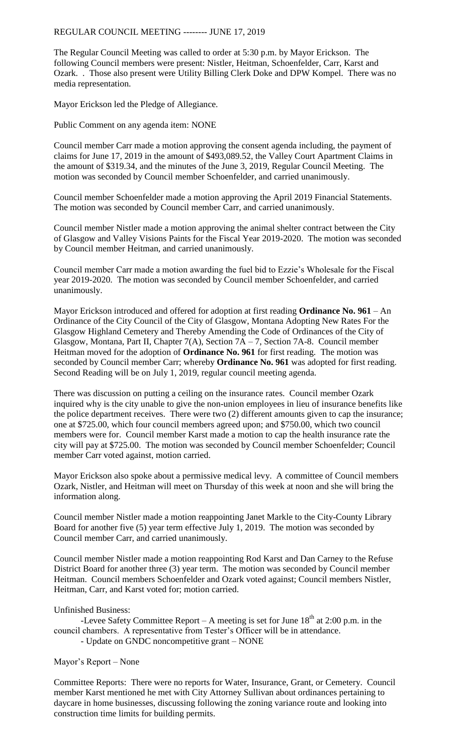REGULAR COUNCIL MEETING -------- JUNE 17, 2019

The Regular Council Meeting was called to order at 5:30 p.m. by Mayor Erickson. The following Council members were present: Nistler, Heitman, Schoenfelder, Carr, Karst and Ozark. . Those also present were Utility Billing Clerk Doke and DPW Kompel. There was no media representation.

Mayor Erickson led the Pledge of Allegiance.

Public Comment on any agenda item: NONE

Council member Carr made a motion approving the consent agenda including, the payment of claims for June 17, 2019 in the amount of \$493,089.52, the Valley Court Apartment Claims in the amount of \$319.34, and the minutes of the June 3, 2019, Regular Council Meeting. The motion was seconded by Council member Schoenfelder, and carried unanimously.

Council member Schoenfelder made a motion approving the April 2019 Financial Statements. The motion was seconded by Council member Carr, and carried unanimously.

Council member Nistler made a motion approving the animal shelter contract between the City of Glasgow and Valley Visions Paints for the Fiscal Year 2019-2020. The motion was seconded by Council member Heitman, and carried unanimously.

Council member Carr made a motion awarding the fuel bid to Ezzie's Wholesale for the Fiscal year 2019-2020. The motion was seconded by Council member Schoenfelder, and carried unanimously.

Mayor Erickson introduced and offered for adoption at first reading **Ordinance No. 961** – An Ordinance of the City Council of the City of Glasgow, Montana Adopting New Rates For the Glasgow Highland Cemetery and Thereby Amending the Code of Ordinances of the City of Glasgow, Montana, Part II, Chapter 7(A), Section 7A – 7, Section 7A-8. Council member Heitman moved for the adoption of **Ordinance No. 961** for first reading. The motion was seconded by Council member Carr; whereby **Ordinance No. 961** was adopted for first reading. Second Reading will be on July 1, 2019, regular council meeting agenda.

There was discussion on putting a ceiling on the insurance rates. Council member Ozark inquired why is the city unable to give the non-union employees in lieu of insurance benefits like the police department receives. There were two (2) different amounts given to cap the insurance; one at \$725.00, which four council members agreed upon; and \$750.00, which two council members were for. Council member Karst made a motion to cap the health insurance rate the city will pay at \$725.00. The motion was seconded by Council member Schoenfelder; Council member Carr voted against, motion carried.

Mayor Erickson also spoke about a permissive medical levy. A committee of Council members Ozark, Nistler, and Heitman will meet on Thursday of this week at noon and she will bring the information along.

Council member Nistler made a motion reappointing Janet Markle to the City-County Library Board for another five (5) year term effective July 1, 2019. The motion was seconded by Council member Carr, and carried unanimously.

Council member Nistler made a motion reappointing Rod Karst and Dan Carney to the Refuse District Board for another three (3) year term. The motion was seconded by Council member Heitman. Council members Schoenfelder and Ozark voted against; Council members Nistler, Heitman, Carr, and Karst voted for; motion carried.

## Unfinished Business:

-Levee Safety Committee Report – A meeting is set for June  $18<sup>th</sup>$  at 2:00 p.m. in the council chambers. A representative from Tester's Officer will be in attendance. - Update on GNDC noncompetitive grant – NONE

## Mayor's Report – None

Committee Reports: There were no reports for Water, Insurance, Grant, or Cemetery. Council member Karst mentioned he met with City Attorney Sullivan about ordinances pertaining to daycare in home businesses, discussing following the zoning variance route and looking into construction time limits for building permits.